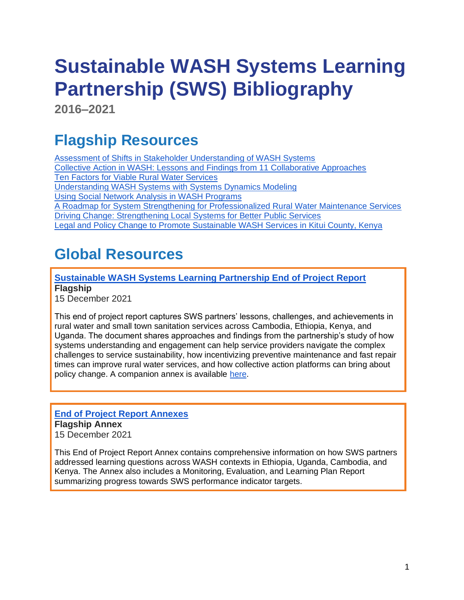# **Sustainable WASH Systems Learning Partnership (SWS) Bibliography**

**2016–2021**

## **Flagship Resources**

[Assessment of Shifts in Stakeholder Understanding of WASH Systems](https://www.globalwaters.org/resources/assets/assessment-shifts-stakeholder-understanding-wash-systems) [Collective Action in WASH: Lessons and Findings from 11 Collaborative Approaches](https://www.globalwaters.org/resources/assets/collective-action-wash-lessons-and-findings-11-collaborative-approaches) Ten [Factors for Viable Rural Water Services](https://www.globalwaters.org/resources/assets/ten-factors-viable-rural-water-services) [Understanding WASH Systems with Systems Dynamics Modeling](https://www.globalwaters.org/resources/assets/understanding-wash-systems-system-dynamics-modeling) [Using Social Network Analysis in WASH Programs](https://www.globalwaters.org/resources/assets/using-social-network-analysis-wash-programs) [A Roadmap for System Strengthening for Professionalized Rural Water Maintenance Services](https://www.globalwaters.org/resources/assets/roadmap-system-strengthening-professionalized-rural-water-maintenance-services)  [Driving Change: Strengthening Local Systems for Better Public Services](https://www.globalwaters.org/resources/assets/driving-change-strengthening-local-systems-water-and-sanitation-sectors)  [Legal and Policy Change to Promote Sustainable WASH Services in Kitui County, Kenya](https://www.globalwaters.org/resources/assets/legal-and-policy-change-promote-sustainable-wash-services-kitui-county-kenya)

## **Global Resources**

#### **[Sustainable WASH Systems Learning Partnership End of Project Report](https://www.globalwaters.org/resources/assets/sustainable-wash-systems-learning-partnership-end-project-report) Flagship**

15 December 2021

This end of project report captures SWS partners' lessons, challenges, and achievements in rural water and small town sanitation services across Cambodia, Ethiopia, Kenya, and Uganda. The document shares approaches and findings from the partnership's study of how systems understanding and engagement can help service providers navigate the complex challenges to service sustainability, how incentivizing preventive maintenance and fast repair times can improve rural water services, and how collective action platforms can bring about policy change. A companion annex is available [here.](https://www.globalwaters.org/resources/assets/sustainable-wash-systems-learning-partnership-end-project-report-annexes)

## **[End of Project Report Annexes](https://www.globalwaters.org/sites/default/files/sws_eop_annexes_for_508.pdf) Flagship Annex**

15 December 2021

This End of Project Report Annex contains comprehensive information on how SWS partners addressed learning questions across WASH contexts in Ethiopia, Uganda, Cambodia, and Kenya. The Annex also includes a Monitoring, Evaluation, and Learning Plan Report summarizing progress towards SWS performance indicator targets.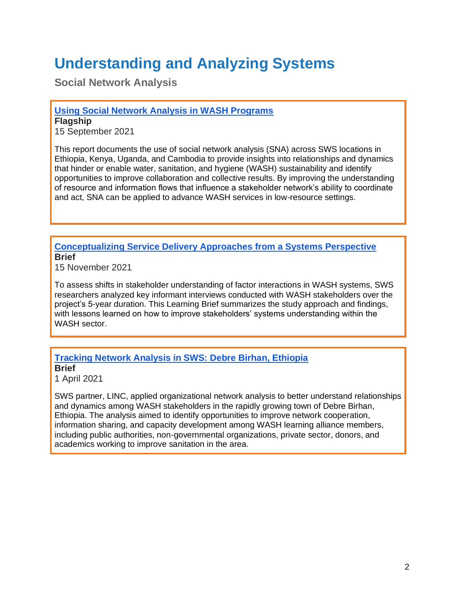## **Understanding and Analyzing Systems**

**Social Network Analysis**

**[Using Social Network Analysis in WASH Programs](https://www.globalwaters.org/resources/assets/using-social-network-analysis-wash-programs)**

**Flagship**  15 September 2021

This report documents the use of social network analysis (SNA) across SWS locations in Ethiopia, Kenya, Uganda, and Cambodia to provide insights into relationships and dynamics that hinder or enable water, sanitation, and hygiene (WASH) sustainability and identify opportunities to improve collaboration and collective results. By improving the understanding of resource and information flows that influence a stakeholder network's ability to coordinate and act, SNA can be applied to advance WASH services in low-resource settings.

#### **[Conceptualizing Service Delivery Approaches from a Systems Perspective](https://www.globalwaters.org/resources/assets/conceptualizing-service-delivery-approaches-systems-perspective) Brief**

15 November 2021

To assess shifts in stakeholder understanding of factor interactions in WASH systems, SWS researchers analyzed key informant interviews conducted with WASH stakeholders over the project's 5-year duration. This Learning Brief summarizes the study approach and findings, with lessons learned on how to improve stakeholders' systems understanding within the WASH sector.

#### **[Tracking Network Analysis in SWS: Debre Birhan, Ethiopia](https://www.globalwaters.org/resources/assets/tracking-network-analysis-sws-debre-birhan-ethiopia) Brief**

1 April 2021

SWS partner, LINC, applied organizational network analysis to better understand relationships and dynamics among WASH stakeholders in the rapidly growing town of Debre Birhan, Ethiopia. The analysis aimed to identify opportunities to improve network cooperation, information sharing, and capacity development among WASH learning alliance members, including public authorities, non-governmental organizations, private sector, donors, and academics working to improve sanitation in the area.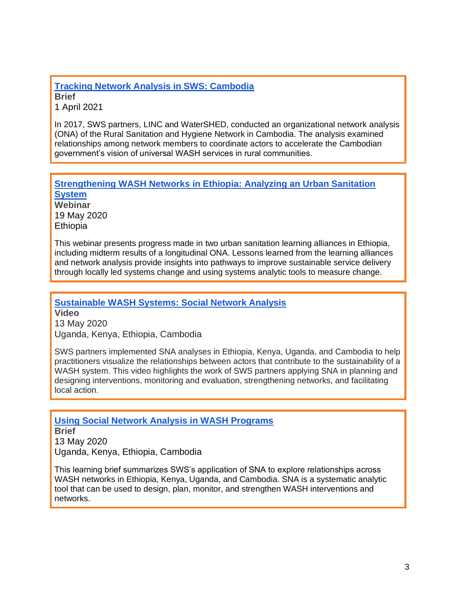#### **[Tracking Network Analysis in SWS: Cambodia](https://www.globalwaters.org/resources/assets/tracking-network-analysis-sws-cambodia) Brief** 1 April 2021

In 2017, SWS partners, LINC and WaterSHED, conducted an organizational network analysis (ONA) of the Rural Sanitation and Hygiene Network in Cambodia. The analysis examined relationships among network members to coordinate actors to accelerate the Cambodian government's vision of universal WASH services in rural communities.

#### **[Strengthening WASH Networks in Ethiopia: Analyzing an Urban Sanitation](https://www.globalwaters.org/resources/webinars/sws/strengthening-wash-networks-in-ethiopia)  [System](https://www.globalwaters.org/resources/webinars/sws/strengthening-wash-networks-in-ethiopia) Webinar**

19 May 2020 **Ethiopia** 

This webinar presents progress made in two urban sanitation learning alliances in Ethiopia, including midterm results of a longitudinal ONA. Lessons learned from the learning alliances and network analysis provide insights into pathways to improve sustainable service delivery through locally led systems change and using systems analytic tools to measure change.

**[Sustainable WASH Systems: Social Network Analysis](https://www.globalwaters.org/resources/videos/SWS/sustainable-wash-systems-social-network-analysis)  Video**  13 May 2020

Uganda, Kenya, Ethiopia, Cambodia

SWS partners implemented SNA analyses in Ethiopia, Kenya, Uganda, and Cambodia to help practitioners visualize the relationships between actors that contribute to the sustainability of a WASH system. This video highlights the work of SWS partners applying SNA in planning and designing interventions, monitoring and evaluation, strengthening networks, and facilitating local action.

## **[Using Social Network Analysis in WASH Programs](https://www.globalwaters.org/resources/assets/sws/using-social-network-analysis-wash-programs)**

**Brief** 13 May 2020 Uganda, Kenya, Ethiopia, Cambodia

This learning brief summarizes SWS's application of SNA to explore relationships across WASH networks in Ethiopia, Kenya, Uganda, and Cambodia. SNA is a systematic analytic tool that can be used to design, plan, monitor, and strengthen WASH interventions and networks.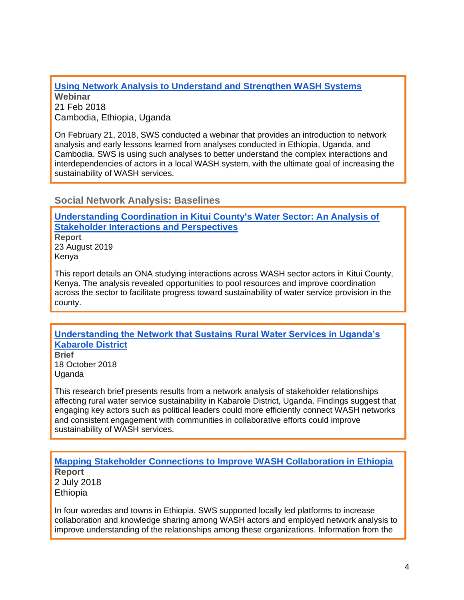**[Using Network Analysis to Understand and Strengthen WASH Systems](https://www.globalwaters.org/resources/webinars/sws/webinar-using-network-analysis-understand-and-strengthen-wash-systems) Webinar** 21 Feb 2018 Cambodia, Ethiopia, Uganda

On February 21, 2018, SWS conducted a webinar that provides an introduction to network analysis and early lessons learned from analyses conducted in Ethiopia, Uganda, and Cambodia. SWS is using such analyses to better understand the complex interactions and interdependencies of actors in a local WASH system, with the ultimate goal of increasing the sustainability of WASH services.

**Social Network Analysis: Baselines**

**[Understanding Coordination in Kitui County's Water Sector: An Analysis of](https://www.globalwaters.org/resources/assets/sws/understanding-coordination-kitui-countys-water-sector-analysis-stakeholder)  [Stakeholder Interactions and Perspectives](https://www.globalwaters.org/resources/assets/sws/understanding-coordination-kitui-countys-water-sector-analysis-stakeholder) Report** 23 August 2019 Kenya

This report details an ONA studying interactions across WASH sector actors in Kitui County, Kenya. The analysis revealed opportunities to pool resources and improve coordination across the sector to facilitate progress toward sustainability of water service provision in the county.

#### **[Understanding the Network that Sustains Rural Water Services in Uganda's](https://www.globalwaters.org/resources/assets/sws/understanding-network-sustains-rural-water-services-ugandas-kabarole-district)  [Kabarole District](https://www.globalwaters.org/resources/assets/sws/understanding-network-sustains-rural-water-services-ugandas-kabarole-district)**

**Brief** 18 October 2018 Uganda

This research brief presents results from a network analysis of stakeholder relationships affecting rural water service sustainability in Kabarole District, Uganda. Findings suggest that engaging key actors such as political leaders could more efficiently connect WASH networks and consistent engagement with communities in collaborative efforts could improve sustainability of WASH services.

## **[Mapping Stakeholder Connections to Improve WASH Collaboration in Ethiopia](https://www.globalwaters.org/resources/assets/mapping-stakeholder-connections-improve-wash-collaboration-ethiopia) Report**

2 July 2018 **Ethiopia** 

In four woredas and towns in Ethiopia, SWS supported locally led platforms to increase collaboration and knowledge sharing among WASH actors and employed network analysis to improve understanding of the relationships among these organizations. Information from the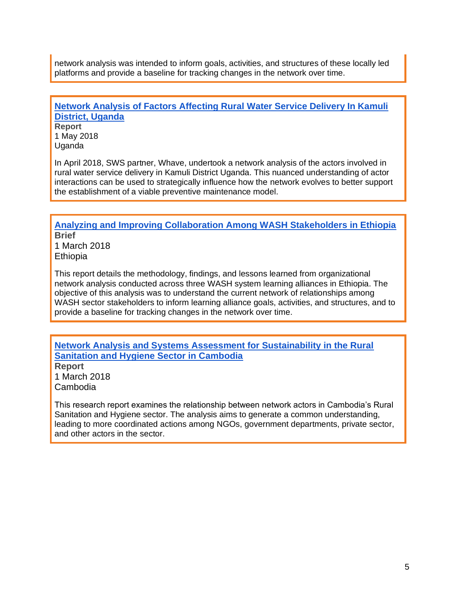network analysis was intended to inform goals, activities, and structures of these locally led platforms and provide a baseline for tracking changes in the network over time.

#### **[Network Analysis of Factors Affecting Rural Water Service Delivery In Kamuli](https://www.globalwaters.org/resources/assets/sws/network-analysis-actors-affecting-rural-water-service-delivery-kamuli-district)  [District, Uganda](https://www.globalwaters.org/resources/assets/sws/network-analysis-actors-affecting-rural-water-service-delivery-kamuli-district)**

**Report** 1 May 2018 Uganda

In April 2018, SWS partner, Whave, undertook a network analysis of the actors involved in rural water service delivery in Kamuli District Uganda. This nuanced understanding of actor interactions can be used to strategically influence how the network evolves to better support the establishment of a viable preventive maintenance model.

**[Analyzing and Improving Collaboration Among WASH Stakeholders in Ethiopia](https://www.globalwaters.org/resources/assets/analyzing-and-improving-collaboration-among-wash-stakeholders-ethiopia) Brief** 1 March 2018

**Ethiopia** 

This report details the methodology, findings, and lessons learned from organizational network analysis conducted across three WASH system learning alliances in Ethiopia. The objective of this analysis was to understand the current network of relationships among WASH sector stakeholders to inform learning alliance goals, activities, and structures, and to provide a baseline for tracking changes in the network over time.

**[Network Analysis and Systems Assessment for Sustainability in the Rural](https://www.globalwaters.org/resources/assets/sws/sws-network-analysis-and-systems-assessment-sustainability-rural-sanitation-and)  [Sanitation and Hygiene Sector in Cambodia](https://www.globalwaters.org/resources/assets/sws/sws-network-analysis-and-systems-assessment-sustainability-rural-sanitation-and)**

**Report** 1 March 2018 Cambodia

This research report examines the relationship between network actors in Cambodia's Rural Sanitation and Hygiene sector. The analysis aims to generate a common understanding, leading to more coordinated actions among NGOs, government departments, private sector, and other actors in the sector.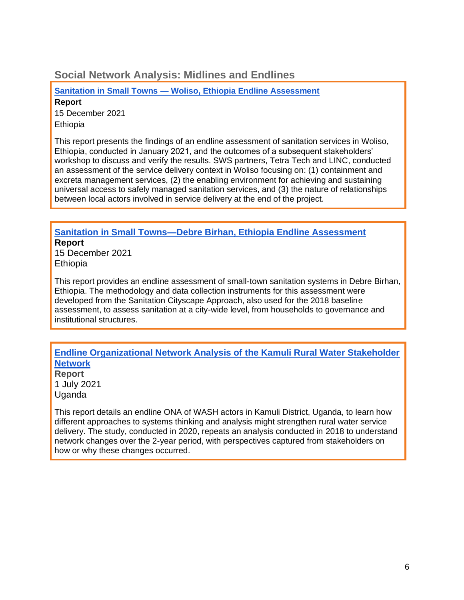### **Social Network Analysis: Midlines and Endlines**

**[Sanitation in Small Towns —](https://www.globalwaters.org/resources/assets/sustainable-wash-systems-learning-partnership-sanitation-small-towns-woliso) Woliso, Ethiopia Endline [Assessment](https://www.globalwaters.org/resources/assets/sustainable-wash-systems-learning-partnership-sanitation-small-towns-woliso) Report**

15 December 2021 **Ethiopia** 

This report presents the findings of an endline assessment of sanitation services in Woliso, Ethiopia, conducted in January 2021, and the outcomes of a subsequent stakeholders' workshop to discuss and verify the results. SWS partners, Tetra Tech and LINC, conducted an assessment of the service delivery context in Woliso focusing on: (1) containment and excreta management services, (2) the enabling environment for achieving and sustaining universal access to safely managed sanitation services, and (3) the nature of relationships between local actors involved in service delivery at the end of the project.

#### **[Sanitation in Small Towns—Debre Birhan, Ethiopia Endline Assessment](https://www.globalwaters.org/resources/assets/sanitation-small-towns-debre-birhan-ethiopia-endline-assessment) Report**

15 December 2021 **Ethiopia** 

This report provides an endline assessment of small-town sanitation systems in Debre Birhan, Ethiopia. The methodology and data collection instruments for this assessment were developed from the Sanitation Cityscape Approach, also used for the 2018 baseline assessment, to assess sanitation at a city-wide level, from households to governance and institutional structures.

#### **[Endline Organizational Network Analysis of the Kamuli Rural Water Stakeholder](https://www.globalwaters.org/resources/assets/endline-organizational-network-analysis-kamuli-rural-water-stakeholder-network)  [Network](https://www.globalwaters.org/resources/assets/endline-organizational-network-analysis-kamuli-rural-water-stakeholder-network)**

**Report** 1 July 2021 Uganda

This report details an endline ONA of WASH actors in Kamuli District, Uganda, to learn how different approaches to systems thinking and analysis might strengthen rural water service delivery. The study, conducted in 2020, repeats an analysis conducted in 2018 to understand network changes over the 2-year period, with perspectives captured from stakeholders on how or why these changes occurred.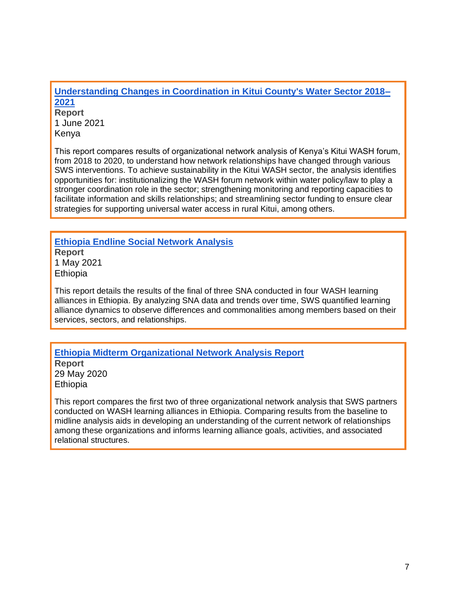**[Understanding Changes in Coordination in Kitui County's Water Sector 2018–](https://www.globalwaters.org/resources/assets/understanding-changes-coordination-kitui-countys-water-sector-2018-2021) [2021](https://www.globalwaters.org/resources/assets/understanding-changes-coordination-kitui-countys-water-sector-2018-2021)**

**Report** 1 June 2021 Kenya

This report compares results of organizational network analysis of Kenya's Kitui WASH forum, from 2018 to 2020, to understand how network relationships have changed through various SWS interventions. To achieve sustainability in the Kitui WASH sector, the analysis identifies opportunities for: institutionalizing the WASH forum network within water policy/law to play a stronger coordination role in the sector; strengthening monitoring and reporting capacities to facilitate information and skills relationships; and streamlining sector funding to ensure clear strategies for supporting universal water access in rural Kitui, among others.

**[Ethiopia Endline Social Network Analysis](https://www.globalwaters.org/resources/assets/ethiopia-endline-social-network-analysis) Report** 1 May 2021 **Ethiopia** 

This report details the results of the final of three SNA conducted in four WASH learning alliances in Ethiopia. By analyzing SNA data and trends over time, SWS quantified learning alliance dynamics to observe differences and commonalities among members based on their services, sectors, and relationships.

**[Ethiopia Midterm Organizational Network Analysis Report](https://www.globalwaters.org/resources/assets/sws/sustainable-wash-systems-learning-partnership-ethiopia-midterm-organizational) Report** 29 May 2020 Ethiopia

This report compares the first two of three organizational network analysis that SWS partners conducted on WASH learning alliances in Ethiopia. Comparing results from the baseline to midline analysis aids in developing an understanding of the current network of relationships among these organizations and informs learning alliance goals, activities, and associated relational structures.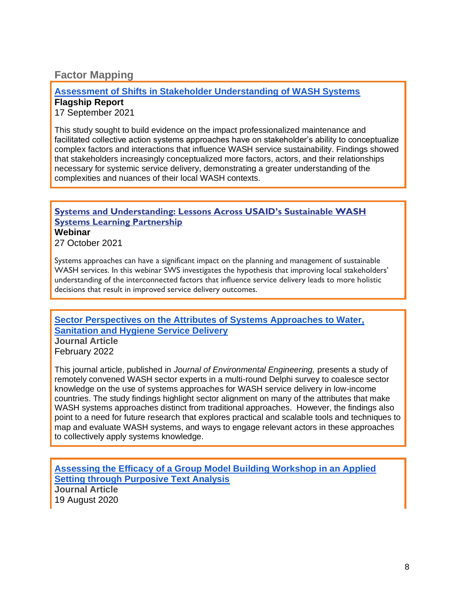## **Factor Mapping**

#### **[Assessment of Shifts in Stakeholder Understanding of WASH Systems](https://www.globalwaters.org/resources/assets/assessment-shifts-stakeholder-understanding-wash-systems) Flagship Report**

17 September 2021

This study sought to build evidence on the impact professionalized maintenance and facilitated collective action systems approaches have on stakeholder's ability to conceptualize complex factors and interactions that influence WASH service sustainability. Findings showed that stakeholders increasingly conceptualized more factors, actors, and their relationships necessary for systemic service delivery, demonstrating a greater understanding of the complexities and nuances of their local WASH contexts.

### **[Systems and Understanding: Lessons Across USAID's Sustainable WASH](https://www.globalwaters.org/events/systems-and-understanding-lessons-across-usaids-sustainable-wash-systems-learning)  [Systems Learning Partnership](https://www.globalwaters.org/events/systems-and-understanding-lessons-across-usaids-sustainable-wash-systems-learning)**

**Webinar**

27 October 2021

Systems approaches can have a significant impact on the planning and management of sustainable WASH services. In this webinar SWS investigates the hypothesis that improving local stakeholders' understanding of the interconnected factors that influence service delivery leads to more holistic decisions that result in improved service delivery outcomes.

**Sector Perspectives on the Attributes of Systems Approaches to Water, Sanitation and Hygiene Service Delivery Journal Article**

February 2022

This journal article, published in *Journal of Environmental Engineering,* presents a study of remotely convened WASH sector experts in a multi-round Delphi survey to coalesce sector knowledge on the use of systems approaches for WASH service delivery in low-income countries. The study findings highlight sector alignment on many of the attributes that make WASH systems approaches distinct from traditional approaches. However, the findings also point to a need for future research that explores practical and scalable tools and techniques to map and evaluate WASH systems, and ways to engage relevant actors in these approaches to collectively apply systems knowledge.

**[Assessing the Efficacy of a Group Model Building Workshop in an Applied](https://onlinelibrary.wiley.com/doi/abs/10.1002/sdr.1657)  [Setting through Purposive Text Analysis](https://onlinelibrary.wiley.com/doi/abs/10.1002/sdr.1657) Journal Article** 19 August 2020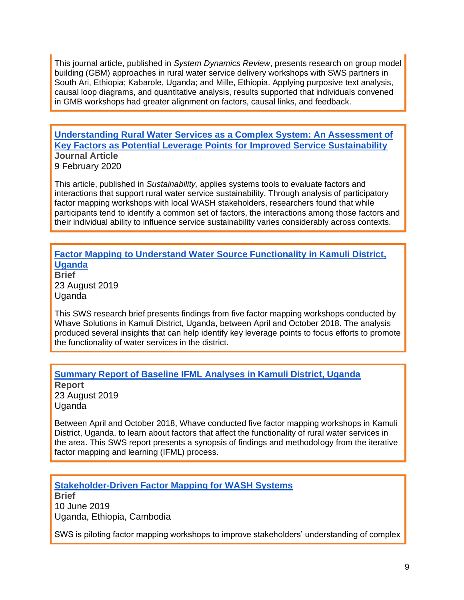This journal article, published in *System Dynamics Review*, presents research on group model building (GBM) approaches in rural water service delivery workshops with SWS partners in South Ari, Ethiopia; Kabarole, Uganda; and Mille, Ethiopia. Applying purposive text analysis, causal loop diagrams, and quantitative analysis, results supported that individuals convened in GMB workshops had greater alignment on factors, causal links, and feedback.

#### **Understanding Rural Water [Services as a Complex System: An Assessment of](https://www.mdpi.com/2071-1050/12/3/1243)  [Key Factors as Potential Leverage Points for Improved Service Sustainability](https://www.mdpi.com/2071-1050/12/3/1243) Journal Article** 9 February 2020

This article, published in *Sustainability,* applies systems tools to evaluate factors and interactions that support rural water service sustainability. Through analysis of participatory factor mapping workshops with local WASH stakeholders, researchers found that while participants tend to identify a common set of factors, the interactions among those factors and their individual ability to influence service sustainability varies considerably across contexts.

#### **[Factor Mapping to Understand Water Source Functionality in Kamuli District,](https://www.globalwaters.org/resources/assets/sws/factor-mapping-understand-water-source-functionality-kamuli-district-uganda)  [Uganda](https://www.globalwaters.org/resources/assets/sws/factor-mapping-understand-water-source-functionality-kamuli-district-uganda)**

**Brief** 23 August 2019 Uganda

This SWS research brief presents findings from five factor mapping workshops conducted by Whave Solutions in Kamuli District, Uganda, between April and October 2018. The analysis produced several insights that can help identify key leverage points to focus efforts to promote the functionality of water services in the district.

## **[Summary Report of Baseline IFML Analyses in Kamuli District, Uganda](https://www.globalwaters.org/resources/assets/sws/summary-report-baseline-ifml-analyses-kamuli-district-uganda)**

**Report** 23 August 2019 Uganda

Between April and October 2018, Whave conducted five factor mapping workshops in Kamuli District, Uganda, to learn about factors that affect the functionality of rural water services in the area. This SWS report presents a synopsis of findings and methodology from the iterative factor mapping and learning (IFML) process.

**[Stakeholder-Driven Factor Mapping for WASH Systems](https://www.globalwaters.org/resources/assets/sws/stakeholder-driven-factor-mapping-wash-systems) Brief** 10 June 2019 Uganda, Ethiopia, Cambodia

SWS is piloting factor mapping workshops to improve stakeholders' understanding of complex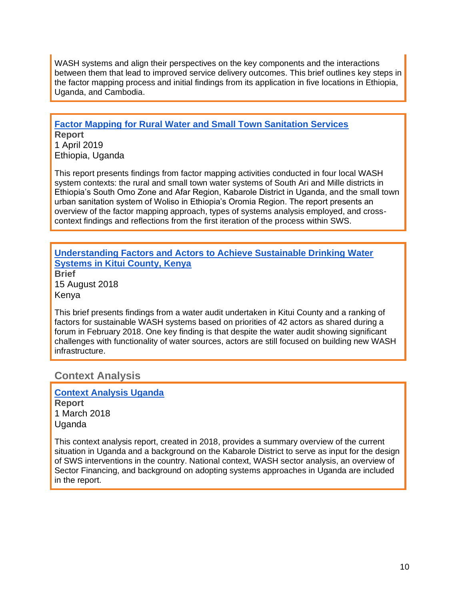WASH systems and align their perspectives on the key components and the interactions between them that lead to improved service delivery outcomes. This brief outlines key steps in the factor mapping process and initial findings from its application in five locations in Ethiopia, Uganda, and Cambodia.

## **[Factor Mapping for Rural Water and Small Town Sanitation Services](https://www.globalwaters.org/resources/assets/sws/factor-mapping-rural-water-and-small-town-sanitation-services)**

**Report** 1 April 2019 Ethiopia, Uganda

This report presents findings from factor mapping activities conducted in four local WASH system contexts: the rural and small town water systems of South Ari and Mille districts in Ethiopia's South Omo Zone and Afar Region, Kabarole District in Uganda, and the small town urban sanitation system of Woliso in Ethiopia's Oromia Region. The report presents an overview of the factor mapping approach, types of systems analysis employed, and crosscontext findings and reflections from the first iteration of the process within SWS.

## **[Understanding Factors and Actors to Achieve Sustainable Drinking Water](https://www.globalwaters.org/resources/assets/sws/understanding-factors-and-actors-achieve-sustainable-drinking-water-systems-kitui)  [Systems in Kitui County, Kenya](https://www.globalwaters.org/resources/assets/sws/understanding-factors-and-actors-achieve-sustainable-drinking-water-systems-kitui)**

**Brief** 15 August 2018 Kenya

This brief presents findings from a water audit undertaken in Kitui County and a ranking of factors for sustainable WASH systems based on priorities of 42 actors as shared during a forum in February 2018. One key finding is that despite the water audit showing significant challenges with functionality of water sources, actors are still focused on building new WASH infrastructure.

## **Context Analysis**

**[Context Analysis Uganda](https://www.globalwaters.org/resources/assets/sustainable-wash-systems-learning-partnership-context-analysis-uganda) Report** 1 March 2018 Uganda

This context analysis report, created in 2018, provides a summary overview of the current situation in Uganda and a background on the Kabarole District to serve as input for the design of SWS interventions in the country. National context, WASH sector analysis, an overview of Sector Financing, and background on adopting systems approaches in Uganda are included in the report.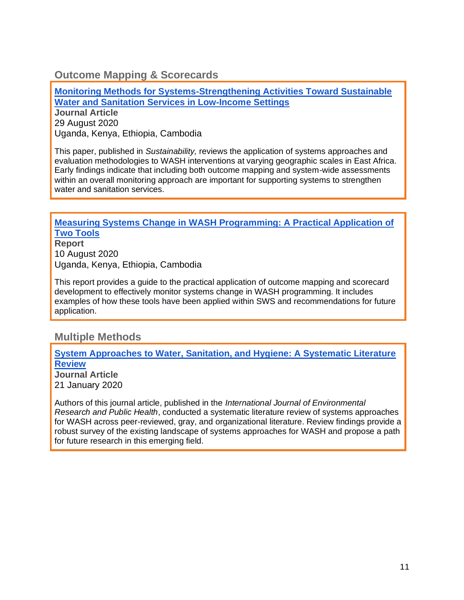## **Outcome Mapping & Scorecards**

**[Monitoring Methods for Systems-Strengthening Activities Toward Sustainable](https://www.globalwaters.org/resources/assets/sws/monitoring-methods-systems-strengthening-activities-toward-sustainable-water-and)  [Water and Sanitation Services in Low-Income Settings](https://www.globalwaters.org/resources/assets/sws/monitoring-methods-systems-strengthening-activities-toward-sustainable-water-and)**

**Journal Article** 29 August 2020 Uganda, Kenya, Ethiopia, Cambodia

This paper, published in *Sustainability,* reviews the application of systems approaches and evaluation methodologies to WASH interventions at varying geographic scales in East Africa. Early findings indicate that including both outcome mapping and system-wide assessments within an overall monitoring approach are important for supporting systems to strengthen water and sanitation services.

#### **[Measuring Systems Change in WASH Programming: A Practical Application of](https://www.globalwaters.org/resources/assets/sws/measuring-systems-change-wash-programming-practical-application-two-tools)  [Two Tools](https://www.globalwaters.org/resources/assets/sws/measuring-systems-change-wash-programming-practical-application-two-tools)**

**Report** 10 August 2020 Uganda, Kenya, Ethiopia, Cambodia

This report provides a guide to the practical application of outcome mapping and scorecard development to effectively monitor systems change in WASH programming. It includes examples of how these tools have been applied within SWS and recommendations for future application.

## **Multiple Methods**

#### **[System Approaches to Water, Sanitation, and Hygiene: A Systematic Literature](https://www.globalwaters.org/resources/assets/sws/system-approaches-water-sanitation-and-hygiene-systematic-literature-review)  [Review](https://www.globalwaters.org/resources/assets/sws/system-approaches-water-sanitation-and-hygiene-systematic-literature-review)**

**Journal Article** 21 January 2020

Authors of this journal article, published in the *International Journal of Environmental Research and Public Health*, conducted a systematic literature review of systems approaches for WASH across peer-reviewed, gray, and organizational literature. Review findings provide a robust survey of the existing landscape of systems approaches for WASH and propose a path for future research in this emerging field.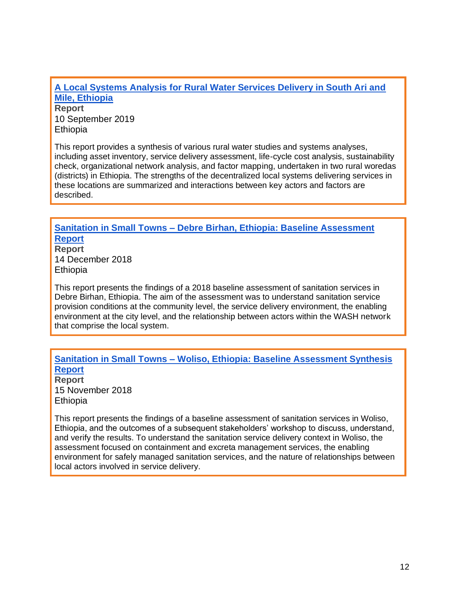**[A Local Systems Analysis for Rural Water Services Delivery in South Ari and](https://www.globalwaters.org/resources/assets/sws/local-systems-analysis-rural-water-services-delivery-south-ari-and-mile-ethiopia)  [Mile, Ethiopia](https://www.globalwaters.org/resources/assets/sws/local-systems-analysis-rural-water-services-delivery-south-ari-and-mile-ethiopia) Report** 10 September 2019

Ethiopia

This report provides a synthesis of various rural water studies and systems analyses, including asset inventory, service delivery assessment, life-cycle cost analysis, sustainability check, organizational network analysis, and factor mapping, undertaken in two rural woredas (districts) in Ethiopia. The strengths of the decentralized local systems delivering services in these locations are summarized and interactions between key actors and factors are described.

## **Sanitation in Small Towns – [Debre Birhan, Ethiopia: Baseline Assessment](https://www.globalwaters.org/resources/assets/sws/sanitation-small-towns-debre-birhan-ethiopia-baseline-assessment-report)  [Report](https://www.globalwaters.org/resources/assets/sws/sanitation-small-towns-debre-birhan-ethiopia-baseline-assessment-report)**

**Report** 14 December 2018 Ethiopia

This report presents the findings of a 2018 baseline assessment of sanitation services in Debre Birhan, Ethiopia. The aim of the assessment was to understand sanitation service provision conditions at the community level, the service delivery environment, the enabling environment at the city level, and the relationship between actors within the WASH network that comprise the local system.

#### **Sanitation in Small Towns – [Woliso, Ethiopia: Baseline Assessment Synthesis](https://www.globalwaters.org/resources/assets/sws/sanitation-small-towns-woliso-ethiopia-baseline-assessment-synthesis-report) [Report](https://www.globalwaters.org/resources/assets/sws/sanitation-small-towns-woliso-ethiopia-baseline-assessment-synthesis-report)**

**Report** 15 November 2018 **Ethiopia** 

This report presents the findings of a baseline assessment of sanitation services in Woliso, Ethiopia, and the outcomes of a subsequent stakeholders' workshop to discuss, understand, and verify the results. To understand the sanitation service delivery context in Woliso, the assessment focused on containment and excreta management services, the enabling environment for safely managed sanitation services, and the nature of relationships between local actors involved in service delivery.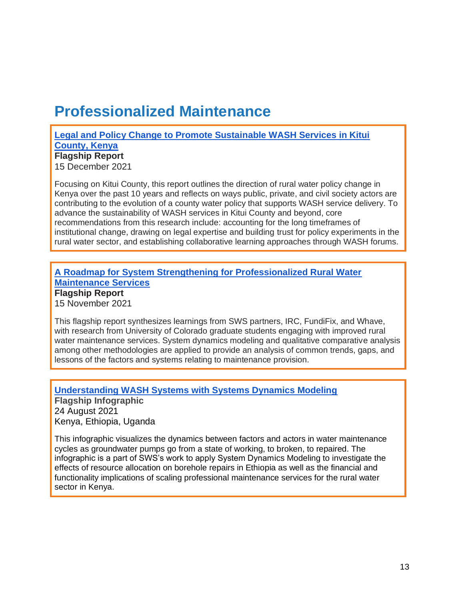## **Professionalized Maintenance**

**[Legal and Policy Change to Promote Sustainable WASH Services in Kitui](https://www.globalwaters.org/resources/assets/legal-and-policy-change-promote-sustainable-wash-services-kitui-county-kenya)  [County, Kenya](https://www.globalwaters.org/resources/assets/legal-and-policy-change-promote-sustainable-wash-services-kitui-county-kenya) Flagship Report**

15 December 2021

Focusing on Kitui County, this report outlines the direction of rural water policy change in Kenya over the past 10 years and reflects on ways public, private, and civil society actors are contributing to the evolution of a county water policy that supports WASH service delivery. To advance the sustainability of WASH services in Kitui County and beyond, core recommendations from this research include: accounting for the long timeframes of institutional change, drawing on legal expertise and building trust for policy experiments in the rural water sector, and establishing collaborative learning approaches through WASH forums.

### **[A Roadmap for System Strengthening for Professionalized Rural Water](https://www.globalwaters.org/resources/assets/roadmap-system-strengthening-professionalized-rural-water-maintenance-services)  [Maintenance Services](https://www.globalwaters.org/resources/assets/roadmap-system-strengthening-professionalized-rural-water-maintenance-services) Flagship Report**

15 November 2021

This flagship report synthesizes learnings from SWS partners, IRC, FundiFix, and Whave, with research from University of Colorado graduate students engaging with improved rural water maintenance services. System dynamics modeling and qualitative comparative analysis among other methodologies are applied to provide an analysis of common trends, gaps, and lessons of the factors and systems relating to maintenance provision.

**[Understanding WASH Systems with Systems Dynamics Modeling](https://www.globalwaters.org/resources/assets/understanding-wash-systems-system-dynamics-modeling) Flagship Infographic** 24 August 2021 Kenya, Ethiopia, Uganda

This infographic visualizes the dynamics between factors and actors in water maintenance cycles as groundwater pumps go from a state of working, to broken, to repaired. The infographic is a part of SWS's work to apply System Dynamics Modeling to investigate the effects of resource allocation on borehole repairs in Ethiopia as well as the financial and functionality implications of scaling professional maintenance services for the rural water sector in Kenya.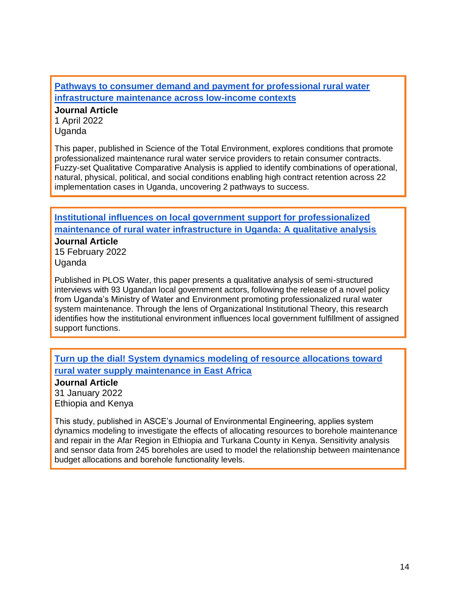**[Pathways to consumer demand and payment for professional rural water](https://www.sciencedirect.com/science/article/pii/S0048969721079857)  [infrastructure maintenance across low-income contexts](https://www.sciencedirect.com/science/article/pii/S0048969721079857)**

**Journal Article** 1 April 2022 Uganda

This paper, published in Science of the Total Environment, explores conditions that promote professionalized maintenance rural water service providers to retain consumer contracts. Fuzzy-set Qualitative Comparative Analysis is applied to identify combinations of operational, natural, physical, political, and social conditions enabling high contract retention across 22 implementation cases in Uganda, uncovering 2 pathways to success.

**[Institutional influences on local government support for professionalized](https://journals.plos.org/water/article?id=10.1371/journal.pwat.0000003)  [maintenance of rural water infrastructure in Uganda: A qualitative analysis](https://journals.plos.org/water/article?id=10.1371/journal.pwat.0000003)**

**Journal Article** 15 February 2022 Uganda

Published in PLOS Water, this paper presents a qualitative analysis of semi-structured interviews with 93 Ugandan local government actors, following the release of a novel policy from Uganda's Ministry of Water and Environment promoting professionalized rural water system maintenance. Through the lens of Organizational Institutional Theory, this research identifies how the institutional environment influences local government fulfillment of assigned support functions.

#### **[Turn up the dial! System dynamics modeling of resource allocations toward](https://ascelibrary.org/doi/10.1061/%28ASCE%29EE.1943-7870.0001982)  [rural water supply maintenance in East Africa](https://ascelibrary.org/doi/10.1061/%28ASCE%29EE.1943-7870.0001982)**

**Journal Article**

31 January 2022 Ethiopia and Kenya

This study, published in ASCE's Journal of Environmental Engineering, applies system dynamics modeling to investigate the effects of allocating resources to borehole maintenance and repair in the Afar Region in Ethiopia and Turkana County in Kenya. Sensitivity analysis and sensor data from 245 boreholes are used to model the relationship between maintenance budget allocations and borehole functionality levels.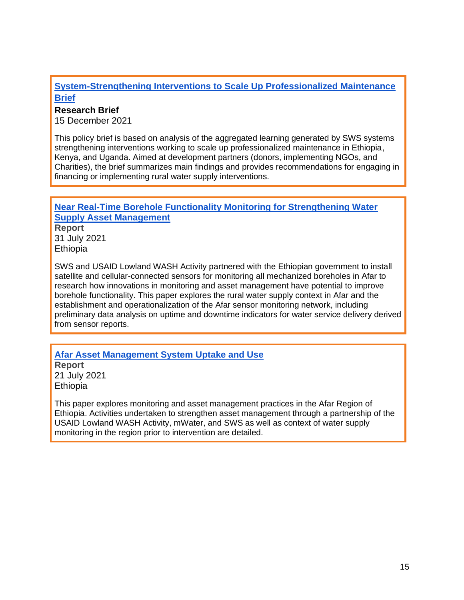#### **[System-Strengthening Interventions to Scale Up Professionalized Maintenance](https://www.globalwaters.org/resources/assets/sustainable-wash-systems-learning-partnership-systems-strengthening-interventions) [Brief](https://www.globalwaters.org/resources/assets/sustainable-wash-systems-learning-partnership-systems-strengthening-interventions)**

#### **Research Brief**

15 December 2021

This policy brief is based on analysis of the aggregated learning generated by SWS systems strengthening interventions working to scale up professionalized maintenance in Ethiopia, Kenya, and Uganda. Aimed at development partners (donors, implementing NGOs, and Charities), the brief summarizes main findings and provides recommendations for engaging in financing or implementing rural water supply interventions.

## **[Near Real-Time Borehole Functionality Monitoring for Strengthening Water](https://www.globalwaters.org/resources/assets/near-real-time-borehole-functionality-monitoring-strengthening-water-supply-asset)  [Supply Asset Management](https://www.globalwaters.org/resources/assets/near-real-time-borehole-functionality-monitoring-strengthening-water-supply-asset) Report** 31 July 2021 **Ethiopia**

SWS and USAID Lowland WASH Activity partnered with the Ethiopian government to install satellite and cellular-connected sensors for monitoring all mechanized boreholes in Afar to research how innovations in monitoring and asset management have potential to improve borehole functionality. This paper explores the rural water supply context in Afar and the establishment and operationalization of the Afar sensor monitoring network, including preliminary data analysis on uptime and downtime indicators for water service delivery derived from sensor reports.

**[Afar Asset Management System Uptake and Use](https://www.globalwaters.org/resources/assets/afar-asset-management-system-uptake-and-use) Report** 21 July 2021 Ethiopia

This paper explores monitoring and asset management practices in the Afar Region of Ethiopia. Activities undertaken to strengthen asset management through a partnership of the USAID Lowland WASH Activity, mWater, and SWS as well as context of water supply monitoring in the region prior to intervention are detailed.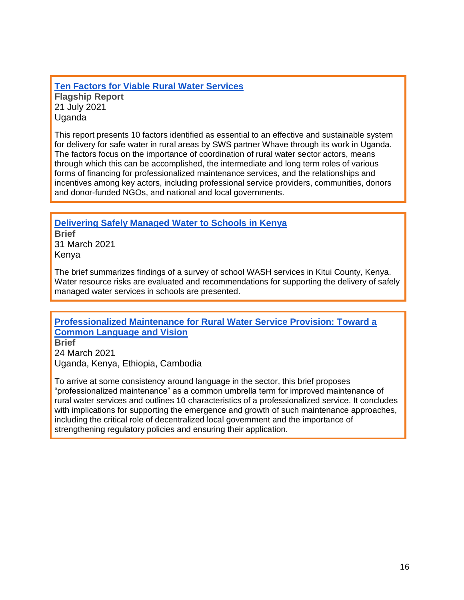**[Ten Factors for Viable Rural Water Services](https://www.globalwaters.org/resources/assets/ten-factors-viable-rural-water-services) Flagship Report** 21 July 2021 **Uganda** 

This report presents 10 factors identified as essential to an effective and sustainable system for delivery for safe water in rural areas by SWS partner Whave through its work in Uganda. The factors focus on the importance of coordination of rural water sector actors, means through which this can be accomplished, the intermediate and long term roles of various forms of financing for professionalized maintenance services, and the relationships and incentives among key actors, including professional service providers, communities, donors and donor-funded NGOs, and national and local governments.

**[Delivering Safely Managed Water to Schools in Kenya](https://www.globalwaters.org/resources/assets/sws/delivering-safely-managed-water-schools-kenya-brief)**

**Brief** 31 March 2021 Kenya

The brief summarizes findings of a survey of school WASH services in Kitui County, Kenya. Water resource risks are evaluated and recommendations for supporting the delivery of safely managed water services in schools are presented.

**[Professionalized Maintenance for Rural Water Service Provision: Toward a](https://www.globalwaters.org/resources/assets/sws/professionalized-maintenance-rural-water-service-provision-toward-common-language)  [Common Language and Vision](https://www.globalwaters.org/resources/assets/sws/professionalized-maintenance-rural-water-service-provision-toward-common-language)**

**Brief** 24 March 2021 Uganda, Kenya, Ethiopia, Cambodia

To arrive at some consistency around language in the sector, this brief proposes "professionalized maintenance" as a common umbrella term for improved maintenance of rural water services and outlines 10 characteristics of a professionalized service. It concludes with implications for supporting the emergence and growth of such maintenance approaches, including the critical role of decentralized local government and the importance of strengthening regulatory policies and ensuring their application.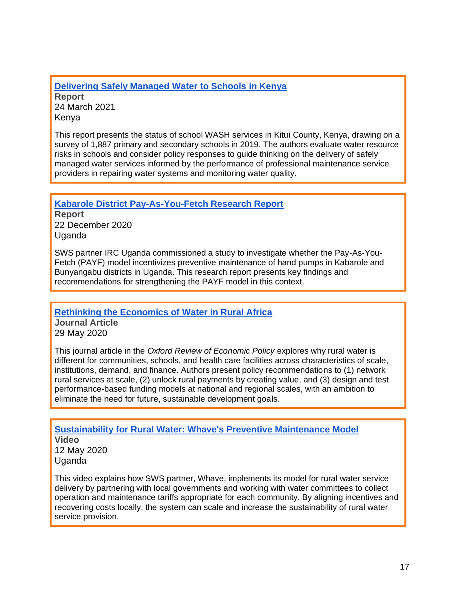**[Delivering Safely Managed Water to Schools in Kenya](https://www.globalwaters.org/resources/assets/sws/delivering-safely-managed-water-schools-kenya) Report** 24 March 2021 Kenya

This report presents the status of school WASH services in Kitui County, Kenya, drawing on a survey of 1,887 primary and secondary schools in 2019. The authors evaluate water resource risks in schools and consider policy responses to guide thinking on the delivery of safely managed water services informed by the performance of professional maintenance service providers in repairing water systems and monitoring water quality.

**[Kabarole District Pay-As-You-Fetch Research Report](https://www.globalwaters.org/resources/assets/sws/kabarole-district-pay-you-fetch-research-report)**

**Report** 22 December 2020 **Uganda** 

SWS partner IRC Uganda commissioned a study to investigate whether the Pay-As-You-Fetch (PAYF) model incentivizes preventive maintenance of hand pumps in Kabarole and Bunyangabu districts in Uganda. This research report presents key findings and recommendations for strengthening the PAYF model in this context.

**[Rethinking the Economics of Water in Rural Africa](https://www.globalwaters.org/resources/assets/sws/rethinking-economics-water-rural-africa)**

**Journal Article** 29 May 2020

This journal article in the *Oxford Review of Economic Policy* explores why rural water is different for communities, schools, and health care facilities across characteristics of scale, institutions, demand, and finance. Authors present policy recommendations to (1) network rural services at scale, (2) unlock rural payments by creating value, and (3) design and test performance-based funding models at national and regional scales, with an ambition to eliminate the need for future, sustainable development goals.

**[Sustainability for Rural Water: Whave's Preventive Maintenance Model](https://www.globalwaters.org/resources/videos/sws/sustainability-rural-water-whaves-preventive-maintenance-model) Video** 12 May 2020 Uganda

This video explains how SWS partner, Whave, implements its model for rural water service delivery by partnering with local governments and working with water committees to collect operation and maintenance tariffs appropriate for each community. By aligning incentives and recovering costs locally, the system can scale and increase the sustainability of rural water service provision.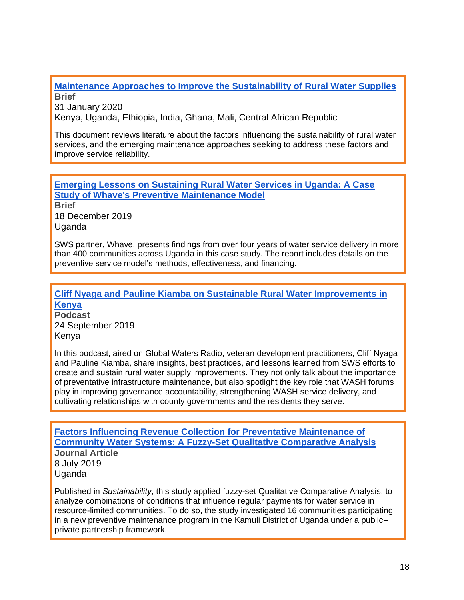**[Maintenance Approaches to Improve the Sustainability of Rural Water Supplies](https://www.globalwaters.org/resources/assets/sws/maintenance-approaches-improve-sustainability-rural-water-supplies) Brief**

31 January 2020

Kenya, Uganda, Ethiopia, India, Ghana, Mali, Central African Republic

This document reviews literature about the factors influencing the sustainability of rural water services, and the emerging maintenance approaches seeking to address these factors and improve service reliability.

**[Emerging Lessons on Sustaining Rural Water Services in Uganda: A Case](https://www.globalwaters.org/resources/assets/sws/emerging-lessons-sustaining-rural-water-services-uganda-case-study-whaves)  [Study of Whave's Preventive Maintenance Model](https://www.globalwaters.org/resources/assets/sws/emerging-lessons-sustaining-rural-water-services-uganda-case-study-whaves)**

**Brief** 18 December 2019 Uganda

SWS partner, Whave, presents findings from over four years of water service delivery in more than 400 communities across Uganda in this case study. The report includes details on the preventive service model's methods, effectiveness, and financing.

**[Cliff Nyaga and Pauline Kiamba on Sustainable Rural Water Improvements](https://www.globalwaters.org/resources/articles/sws/cliff-nyaga-and-pauline-kiamba-sustainable-rural-water-improvements-kenya) in [Kenya](https://www.globalwaters.org/resources/articles/sws/cliff-nyaga-and-pauline-kiamba-sustainable-rural-water-improvements-kenya)**

**Podcast** 24 September 2019 Kenya

In this podcast, aired on Global Waters Radio, veteran development practitioners, Cliff Nyaga and Pauline Kiamba, share insights, best practices, and lessons learned from SWS efforts to create and sustain rural water supply improvements. They not only talk about the importance of preventative infrastructure maintenance, but also spotlight the key role that WASH forums play in improving governance accountability, strengthening WASH service delivery, and cultivating relationships with county governments and the residents they serve.

**[Factors Influencing Revenue Collection for Preventative Maintenance of](https://www.globalwaters.org/resources/assets/factors-influencing-revenue-collection-preventative-maintenance-community-water)  [Community Water Systems: A Fuzzy-Set Qualitative Comparative Analysis](https://www.globalwaters.org/resources/assets/factors-influencing-revenue-collection-preventative-maintenance-community-water) Journal Article** 8 July 2019 Uganda

Published in *Sustainability*, this study applied fuzzy-set Qualitative Comparative Analysis, to analyze combinations of conditions that influence regular payments for water service in resource-limited communities. To do so, the study investigated 16 communities participating in a new preventive maintenance program in the Kamuli District of Uganda under a public– private partnership framework.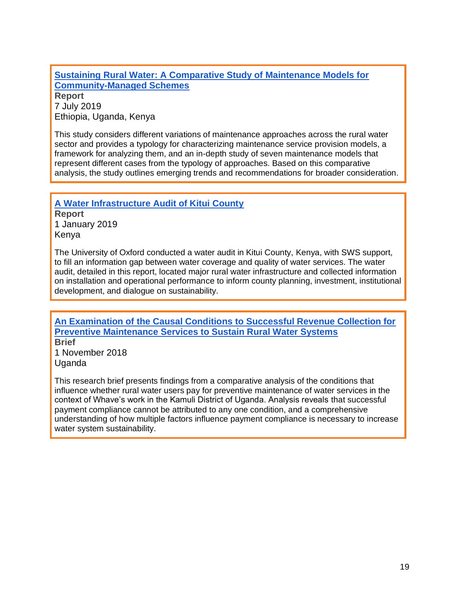### **[Sustaining Rural Water: A Comparative Study of Maintenance Models for](https://www.globalwaters.org/resources/assets/sws/sustaining-rural-water-comparative-study-maintenance-models-community-managed)  [Community-Managed Schemes](https://www.globalwaters.org/resources/assets/sws/sustaining-rural-water-comparative-study-maintenance-models-community-managed) Report**

7 July 2019 Ethiopia, Uganda, Kenya

This study considers different variations of maintenance approaches across the rural water sector and provides a typology for characterizing maintenance service provision models, a framework for analyzing them, and an in-depth study of seven maintenance models that represent different cases from the typology of approaches. Based on this comparative analysis, the study outlines emerging trends and recommendations for broader consideration.

**[A Water Infrastructure Audit of Kitui County](https://www.globalwaters.org/resources/assets/sws/water-infrastructure-audit-kitui-county) Report** 1 January 2019 Kenya

The University of Oxford conducted a water audit in Kitui County, Kenya, with SWS support, to fill an information gap between water coverage and quality of water services. The water audit, detailed in this report, located major rural water infrastructure and collected information on installation and operational performance to inform county planning, investment, institutional development, and dialogue on sustainability.

**[An Examination of the Causal Conditions to Successful Revenue Collection for](https://www.globalwaters.org/resources/assets/sws/examination-causal-conditions-successful-revenue-collection-preventive-maintenance)  [Preventive Maintenance Services to Sustain Rural Water Systems](https://www.globalwaters.org/resources/assets/sws/examination-causal-conditions-successful-revenue-collection-preventive-maintenance) Brief** 1 November 2018

Uganda

This research brief presents findings from a comparative analysis of the conditions that influence whether rural water users pay for preventive maintenance of water services in the context of Whave's work in the Kamuli District of Uganda. Analysis reveals that successful payment compliance cannot be attributed to any one condition, and a comprehensive understanding of how multiple factors influence payment compliance is necessary to increase water system sustainability.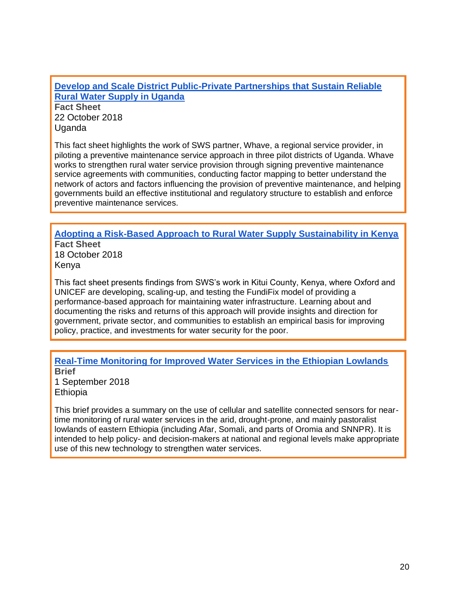**[Develop and Scale District Public-Private Partnerships that Sustain Reliable](https://www.globalwaters.org/resources/assets/sws/uganda-fact-sheet)  [Rural Water Supply in Uganda](https://www.globalwaters.org/resources/assets/sws/uganda-fact-sheet)**

**Fact Sheet** 22 October 2018 Uganda

This fact sheet highlights the work of SWS partner, Whave, a regional service provider, in piloting a preventive maintenance service approach in three pilot districts of Uganda. Whave works to strengthen rural water service provision through signing preventive maintenance service agreements with communities, conducting factor mapping to better understand the network of actors and factors influencing the provision of preventive maintenance, and helping governments build an effective institutional and regulatory structure to establish and enforce preventive maintenance services.

#### **[Adopting a Risk-Based Approach to Rural Water Supply Sustainability in Kenya](https://www.globalwaters.org/resources/assets/sws/kenya-fact-sheet) Fact Sheet**

18 October 2018 Kenya

This fact sheet presents findings from SWS's work in Kitui County, Kenya, where Oxford and UNICEF are developing, scaling-up, and testing the FundiFix model of providing a performance-based approach for maintaining water infrastructure. Learning about and documenting the risks and returns of this approach will provide insights and direction for government, private sector, and communities to establish an empirical basis for improving policy, practice, and investments for water security for the poor.

#### **[Real-Time Monitoring for Improved Water Services in the Ethiopian Lowlands](https://www.globalwaters.org/resources/assets/real-time-monitoring-improved-water-services-ethiopian-lowlands) Brief**

1 September 2018 **Ethiopia** 

This brief provides a summary on the use of cellular and satellite connected sensors for neartime monitoring of rural water services in the arid, drought-prone, and mainly pastoralist lowlands of eastern Ethiopia (including Afar, Somali, and parts of Oromia and SNNPR). It is intended to help policy- and decision-makers at national and regional levels make appropriate use of this new technology to strengthen water services.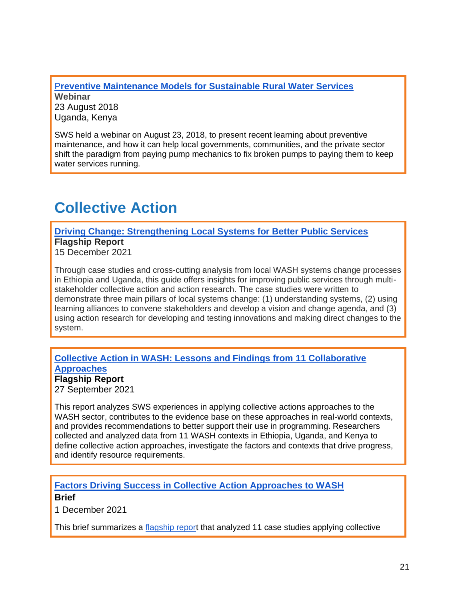[P](https://www.globalwaters.org/resources/webinars/sws/preventive-maintenance-models-sustainable-rural-water-services)**[reventive Maintenance Models for Sustainable Rural Water Services](https://www.globalwaters.org/resources/webinars/sws/preventive-maintenance-models-sustainable-rural-water-services) Webinar** 23 August 2018 Uganda, Kenya

SWS held a webinar on August 23, 2018, to present recent learning about preventive maintenance, and how it can help local governments, communities, and the private sector shift the paradigm from paying pump mechanics to fix broken pumps to paying them to keep water services running.

## **Collective Action**

**[Driving Change: Strengthening Local Systems for Better Public Services](https://www.globalwaters.org/resources/assets/driving-change-strengthening-local-systems-water-and-sanitation-sectors)  Flagship Report**

15 December 2021

Through case studies and cross-cutting analysis from local WASH systems change processes in Ethiopia and Uganda, this guide offers insights for improving public services through multistakeholder collective action and action research. The case studies were written to demonstrate three main pillars of local systems change: (1) understanding systems, (2) using learning alliances to convene stakeholders and develop a vision and change agenda, and (3) using action research for developing and testing innovations and making direct changes to the system.

### **[Collective Action in WASH: Lessons and Findings from 11](https://www.globalwaters.org/resources/assets/collective-action-wash-lessons-and-findings-11-collaborative-approaches) [Collaborative](https://www.globalwaters.org/resources/assets/collective-action-wash-lessons-and-findings-11-collaborative-approaches)  [Approaches](https://www.globalwaters.org/resources/assets/collective-action-wash-lessons-and-findings-11-collaborative-approaches)**

**Flagship Report** 27 September 2021

This report analyzes SWS experiences in applying collective actions approaches to the WASH sector, contributes to the evidence base on these approaches in real-world contexts, and provides recommendations to better support their use in programming. Researchers collected and analyzed data from 11 WASH contexts in Ethiopia, Uganda, and Kenya to define collective action approaches, investigate the factors and contexts that drive progress, and identify resource requirements.

### **[Factors Driving Success in Collective Action Approaches to WASH](https://www.globalwaters.org/resources/assets/factors-driving-success-collective-action-approaches-wash) Brief**

1 December 2021

This brief summarizes a [flagship report](https://www.globalwaters.org/resources/assets/collective-action-wash-lessons-and-findings-11-collaborative-approaches) that analyzed 11 case studies applying collective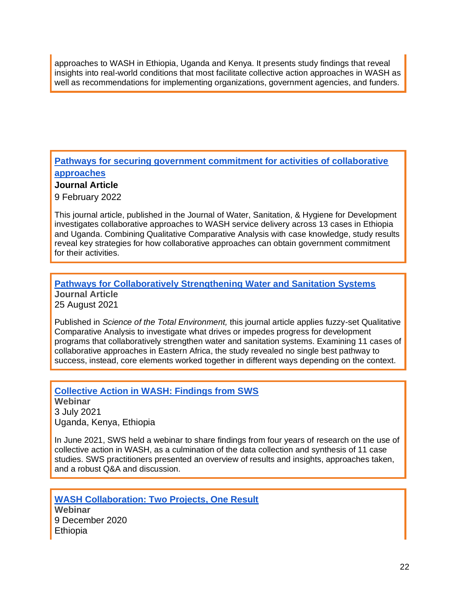approaches to WASH in Ethiopia, Uganda and Kenya. It presents study findings that reveal insights into real-world conditions that most facilitate collective action approaches in WASH as well as recommendations for implementing organizations, government agencies, and funders.

**[Pathways for securing government commitment for activities of collaborative](https://iwaponline.com/washdev/article/doi/10.2166/washdev.2022.183/86905/Pathways-for-securing-government-commitment-for)  [approaches](https://iwaponline.com/washdev/article/doi/10.2166/washdev.2022.183/86905/Pathways-for-securing-government-commitment-for)**

**Journal Article**

9 February 2022

This journal article, published in the Journal of Water, Sanitation, & Hygiene for Development investigates collaborative approaches to WASH service delivery across 13 cases in Ethiopia and Uganda. Combining Qualitative Comparative Analysis with case knowledge, study results reveal key strategies for how collaborative approaches can obtain government commitment for their activities.

## **[Pathways for Collaboratively Strengthening Water and Sanitation Systems](https://www.sciencedirect.com/science/article/pii/S0048969721049299?via%3Dihub) Journal Article**

25 August 2021

Published in *Science of the Total Environment,* this journal article applies fuzzy-set Qualitative Comparative Analysis to investigate what drives or impedes progress for development programs that collaboratively strengthen water and sanitation systems. Examining 11 cases of collaborative approaches in Eastern Africa, the study revealed no single best pathway to success, instead, core elements worked together in different ways depending on the context.

**[Collective Action in WASH: Findings from SWS](https://www.globalwaters.org/events/collective-action-wash-findings-sws) Webinar** 3 July 2021 Uganda, Kenya, Ethiopia

In June 2021, SWS held a webinar to share findings from four years of research on the use of collective action in WASH, as a culmination of the data collection and synthesis of 11 case studies. SWS practitioners presented an overview of results and insights, approaches taken, and a robust Q&A and discussion.

**[WASH Collaboration: Two Projects, One Result](https://www.globalwaters.org/resources/assets/sws/webinar-wash-collaboration-two-projects-one-result) Webinar** 9 December 2020 Ethiopia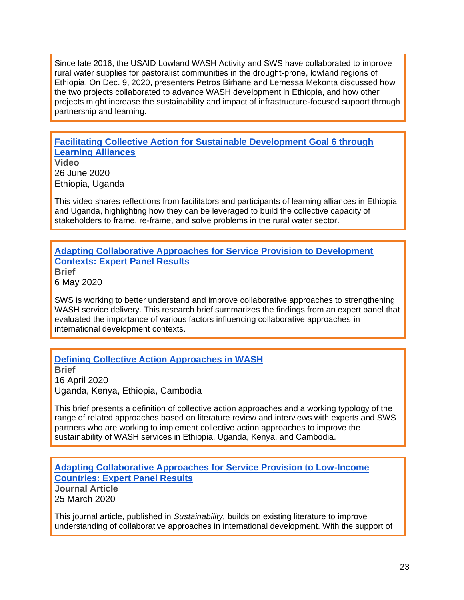Since late 2016, the USAID Lowland WASH Activity and SWS have collaborated to improve rural water supplies for pastoralist communities in the drought-prone, lowland regions of Ethiopia. On Dec. 9, 2020, presenters Petros Birhane and Lemessa Mekonta discussed how the two projects collaborated to advance WASH development in Ethiopia, and how other projects might increase the sustainability and impact of infrastructure-focused support through partnership and learning.

**[Facilitating Collective Action for Sustainable Development Goal 6 through](https://www.globalwaters.org/resources/videos/sws/facilitating-collective-action-sustainable-development-goal-6-through-learning)  [Learning Alliances](https://www.globalwaters.org/resources/videos/sws/facilitating-collective-action-sustainable-development-goal-6-through-learning)**

**Video** 26 June 2020 Ethiopia, Uganda

This video shares reflections from facilitators and participants of learning alliances in Ethiopia and Uganda, highlighting how they can be leveraged to build the collective capacity of stakeholders to frame, re-frame, and solve problems in the rural water sector.

#### **[Adapting Collaborative Approaches for Service Provision to Development](https://www.globalwaters.org/resources/assets/sws/adapting-collaborative-approaches-for-service-provision)  [Contexts: Expert Panel Results](https://www.globalwaters.org/resources/assets/sws/adapting-collaborative-approaches-for-service-provision)**

**Brief** 6 May 2020

SWS is working to better understand and improve collaborative approaches to strengthening WASH service delivery. This research brief summarizes the findings from an expert panel that evaluated the importance of various factors influencing collaborative approaches in international development contexts.

#### **[Defining Collective Action Approaches in WASH](https://www.globalwaters.org/resources/assets/sws/defining-collective-action-approaches-wash)**

**Brief** 16 April 2020 Uganda, Kenya, Ethiopia, Cambodia

This brief presents a definition of collective action approaches and a working typology of the range of related approaches based on literature review and interviews with experts and SWS partners who are working to implement collective action approaches to improve the sustainability of WASH services in Ethiopia, Uganda, Kenya, and Cambodia.

**[Adapting Collaborative Approaches for Service Provision to Low-Income](https://www.globalwaters.org/resources/assets/sws/adapting-collaborative-approaches-service-provision-low-income-countries-expert)  [Countries: Expert Panel Results](https://www.globalwaters.org/resources/assets/sws/adapting-collaborative-approaches-service-provision-low-income-countries-expert)**

**Journal Article** 25 March 2020

This journal article, published in *Sustainability,* builds on existing literature to improve understanding of collaborative approaches in international development. With the support of